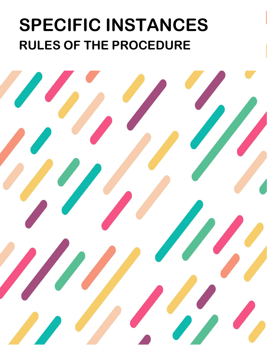# **SPECIFIC INSTANCES RULES OF THE PROCEDURE**

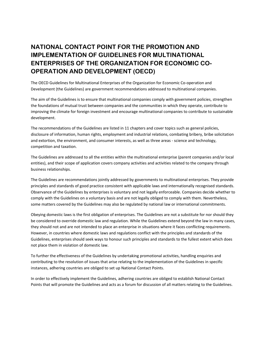# **NATIONAL CONTACT POINT FOR THE PROMOTION AND IMPLEMENTATION OF GUIDELINES FOR MULTINATIONAL ENTERPRISES OF THE ORGANIZATION FOR ECONOMIC CO-OPERATION AND DEVELOPMENT (OECD)**

The OECD Guidelines for Multinational Enterprises of the Organization for Economic Co-operation and Development (the Guidelines) are government recommendations addressed to multinational companies.

The aim of the Guidelines is to ensure that multinational companies comply with government policies, strengthen the foundations of mutual trust between companies and the communities in which they operate, contribute to improving the climate for foreign investment and encourage multinational companies to contribute to sustainable development.

The recommendations of the Guidelines are listed in 11 chapters and cover topics such as general policies, disclosure of information, human rights, employment and industrial relations, combating bribery, bribe solicitation and extortion, the environment, and consumer interests, as well as three areas - science and technology, competition and taxation.

The Guidelines are addressed to all the entities within the multinational enterprise (parent companies and/or local entities), and their scope of application covers company activities and activities related to the company through business relationships.

The Guidelines are recommendations jointly addressed by governments to multinational enterprises. They provide principles and standards of good practice consistent with applicable laws and internationally recognised standards. Observance of the Guidelines by enterprises is voluntary and not legally enforceable. Companies decide whether to comply with the Guidelines on a voluntary basis and are not legally obliged to comply with them. Nevertheless, some matters covered by the Guidelines may also be regulated by national law or international commitments.

Obeying domestic laws is the first obligation of enterprises. The Guidelines are not a substitute for nor should they be considered to override domestic law and regulation. While the Guidelines extend beyond the law in many cases, they should not and are not intended to place an enterprise in situations where it faces conflicting requirements. However, in countries where domestic laws and regulations conflict with the principles and standards of the Guidelines, enterprises should seek ways to honour such principles and standards to the fullest extent which does not place them in violation of domestic law.

To further the effectiveness of the Guidelines by undertaking promotional activities, handling enquiries and contributing to the resolution of issues that arise relating to the implementation of the Guidelines in specific instances, adhering countries are obliged to set up National Contact Points.

In order to effectively implement the Guidelines, adhering countries are obliged to establish National Contact Points that will promote the Guidelines and acts as a forum for discussion of all matters relating to the Guidelines.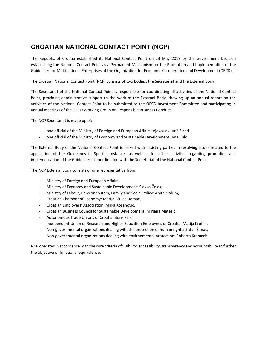# **CROATIAN NATIONAL CONTACT POINT (NCP)**

The Republic of Croatia established its National Contact Point on 23 May 2019 by the Government Decision establishing the National Contact Point as a Permanent Mechanism for the Promotion and Implementation of the Guidelines for Multinational Enterprises of the Organization for Economic Co-operation and Development (OECD).

The Croatian National Contact Point (NCP) consists of two bodies: the Secretariat and the External Body.

The Secretariat of the National Contact Point is responsible for coordinating all activities of the National Contact Point, providing administrative support to the work of the External Body, drawing up an annual report on the activities of the National Contact Point to be submitted to the OECD Investment Committee and participating in annual meetings of the OECD Working Group on Responsible Business Conduct.

The NCP Secretariat is made up of:

- one official of the Ministry of Foreign and European Affairs: Vjekoslav Juričić and
- one official of the Ministry of Economy and Sustainable Development: Ana Čulo.

The External Body of the National Contact Point is tasked with assisting parties in resolving issues related to the application of the Guidelines in Specific Instances as well as for other activities regarding promotion and implementation of the Guidelines in coordination with the Secretariat of the National Contact Point.

The NCP External Body consists of one representative from:

- Ministry of Foreign and European Affairs:
- Ministry of Economy and Sustainable Development: Slavko Čolak,
- Ministry of Labour, Pension System, Family and Social Policy: Anita Zirdum,
- Croatian Chamber of Economy: Marija Šćulac Domac,
- Croatian Employers' Association: Milka Kosanović,
- Croatian Business Council for Sustainable Development: Mirjana Matešić,
- Autonomous Trade Unions of Croatia: Boris Feis,
- Independent Union of Research and Higher Education Employees of Croatia: Matija Kroflin,
- Non-governmental organizations dealing with the protection of human rights: Srđan Šimac,
- Non-governmental organizations dealing with environmental protection: Roberto Kramarić.

NCP operates in accordance with the core criteria of visibility, accessibility, transparency and accountability to further the objective of functional equivalence.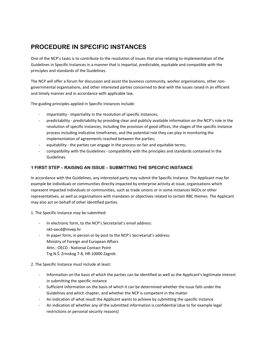# **PROCEDURE IN SPECIFIC INSTANCES**

One of the NCP's tasks is to contribute to the resolution of issues that arise relating to implementation of the Guidelines in Specific Instances in a manner that is impartial, predictable, equitable and compatible with the principles and standards of the Guidelines.

The NCP will offer a forum for discussion and assist the business community, worker organisations, other nongovernmental organisations, and other interested parties concerned to deal with the issues raised in an efficient and timely manner and in accordance with applicable law.

The guiding principles applied in Specific Instances include:

- impartiality impartiality in the resolution of specific instances;
- predictability predictability by providing clear and publicly available information on the NCP's role in the resolution of specific instances, including the provision of good offices, the stages of the specific instance process including indicative timeframes, and the potential role they can play in monitoring the implementation of agreements reached between the parties;
- equitability the parties can engage in the process on fair and equitable terms;
- compatibility with the Guidelines compatibility with the principles and standards contained in the Guidelines.

## **1 FIRST STEP – RAISING AN ISSUE – SUBMITTING THE SPECIFIC INSTANCE**

In accordance with the Guidelines, any interested party may submit the Specific Instance. The Applicant may for example be individuals or communities directly impacted by enterprise activity at issue, organisations which represent impacted individuals or communities, such as trade unions or in some instances NGOs or other representatives, as well as organisations with mandates or objectives related to certain RBC themes. The Applicant may also act on behalf of other identified parties.

1. The Specific Instance may be submitted:

- In electronic form, to the NCP's Secretariat's email address: nkt-oecd@mvep.hr
- In paper form, in person or by post to the NCP's Secretariat's address: Ministry of Foreign and European Affairs Attn.: OECD - National Contact Point Trg N.Š. Zrinskog 7-8, HR-10000 Zagreb

2. The Specific Instance must include at least:

- Information on the basis of which the parties can be identified as well as the Applicant's legitimate interest in submitting the specific instance
- Sufficient information on the basis of which it can be determined whether the issue falls under the Guidelines and which chapter, and whether the NCP is competent in the matter
- An indication of what result the Applicant wants to achieve by submitting the specific instance
- An indication of whether any of the submitted information is confidential (due to for example legal restrictions or personal security reasons)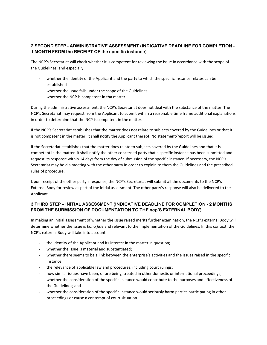# **2 SECOND STEP - ADMINISTRATIVE ASSESSMENT (INDICATIVE DEADLINE FOR COMPLETION - 1 MONTH FROM the RECEIPT OF the specific instance)**

The NCP's Secretariat will check whether it is competent for reviewing the issue in accordance with the scope of the Guidelines, and especially:

- whether the identity of the Applicant and the party to which the specific instance relates can be established
- whether the issue falls under the scope of the Guidelines
- whether the NCP is competent in tha matter.

During the administrative assessment, the NCP's Secretariat does not deal with the substance of the matter. The NCP's Secretariat may request from the Applicant to submit within a reasonable time frame additional explanations in order to determine that the NCP is competent in the matter.

If the NCP's Secretariat establishes that the matter does not relate to subjects covered by the Guidelines or that it is not competent in the matter, it shall notify the Applicant thereof. No statement/report will be issued.

If the Secretariat establishes that the matter does relate to subjects covered by the Guidelines and that it is competent in the matter, it shall notify the other concerned party that a specific instance has been submitted and request its response within 14 days from the day of submission of the specific instance. If necessary, the NCP's Secretariat may hold a meeting with the other party in order to explain to them the Guidelines and the prescribed rules of procedure.

Upon receipt of the other party's response, the NCP's Secretariat will submit all the documents to the NCP's External Body for review as part of the initial assessment. The other party's response will also be delivered to the Applicant.

## **3 THIRD STEP – INITIAL ASSESSMENT (INDICATIVE DEADLINE FOR COMPLETION - 2 MONTHS FROM THE SUBMISSION OF DOCUMENTATION TO THE ncp'S EXTERNAL BODY)**

In making an initial assessment of whether the issue raised merits further examination, the NCP's external Body will determine whether the issue is *bona fide* and relevant to the implementation of the Guidelines. In this context, the NCP's external Body will take into account:

- the identity of the Applicant and its interest in the matter in question;
- whether the issue is material and substantiated;
- whether there seems to be a link between the enterprise's activities and the issues raised in the specific instance;
- the relevance of applicable law and procedures, including court rulings;
- how similar issues have been, or are being, treated in other domestic or international proceedings;
- whether the consideration of the specific instance would contribute to the purposes and effectiveness of the Guidelines; and
- whether the consideration of the specific instance would seriously harm parties participating in other proceedings or cause a contempt of court situation.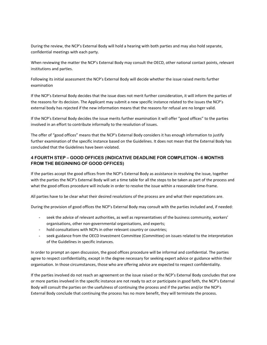During the review, the NCP's External Body will hold a hearing with both parties and may also hold separate, confidential meetings with each party.

When reviewing the matter the NCP's External Body may consult the OECD, other national contact points, relevant institutions and parties.

Following its initial assessment the NCP's External Body will decide whether the issue raised merits further examination

If the NCP's External Body decides that the issue does not merit further consideration, it will inform the parties of the reasons for its decision. The Applicant may submit a new specific instance related to the issues the NCP's external body has rejected if the new information means that the reasons for refusal are no longer valid.

If the NCP's External Body decides the issue merits further examination it will offer "good offices" to the parties involved in an effort to contribute informally to the resolution of issues.

The offer of "good offices" means that the NCP's External Body considers it has enough information to justify further examination of the specific instance based on the Guidelines. It does not mean that the External Body has concluded that the Guidelines have been violated.

## **4 FOURTH STEP – GOOD OFFICES (INDICATIVE DEADLINE FOR COMPLETION - 6 MONTHS FROM THE BEGINNING OF GOOD OFFICES)**

If the parties accept the good offices from the NCP's External Body as assistance in resolving the issue, together with the parties the NCP's External Body will set a time table for all the steps to be taken as part of the process and what the good offices procedure will include in order to resolve the issue within a reasonable time-frame.

All parties have to be clear what their desired resolutions of the process are and what their expectations are.

During the provision of good offices the NCP's External Body may consult with the parties included and, if needed:

- seek the advice of relevant authorities, as well as representatives of the business community, workers' organisations, other non-governmental organisations, and experts;
- hold consultations with NCPs in other relevant country or countries;
- seek guidance from the OECD Investment Committee (Committee) on issues related to the interpretation of the Guidelines in specific instances.

In order to prompt an open discussion, the good offices procedure will be informal and confidential. The parties agree to respect confidentiality, except in the degree necessary for seeking expert advice or guidance within their organisation. In those circumstances, those who are offering advice are expected to respect confidentiality.

If the parties involved do not reach an agreement on the issue raised or the NCP's External Body concludes that one or more parties involved in the specific instance are not ready to act or participate in good faith, the NCP's External Body will consult the parties on the usefulness of continuing the process and if the parties and/or the NCP's External Body conclude that continuing the process has no more benefit, they will terminate the process.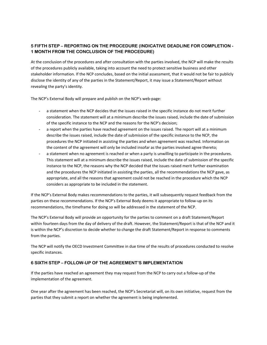# **5 FIFTH STEP – REPORTING ON THE PROCEDURE (INDICATIVE DEADLINE FOR COMPLETION - 1 MONTH FROM THE CONCLUSION OF THE PROCEDURE)**

At the conclusion of the procedures and after consultation with the parties involved, the NCP will make the results of the procedures publicly available, taking into account the need to protect sensitive business and other stakeholder information. If the NCP concludes, based on the initial assessment, that it would not be fair to publicly disclose the identity of any of the parties in the Statement/Report, it may issue a Statement/Report without revealing the party's identity.

The NCP's External Body will prepare and publish on the NCP's web-page:

- a statement when the NCP decides that the issues raised in the specific instance do not merit further consideration. The statement will at a minimum describe the issues raised, include the date of submission of the specific instance to the NCP and the reasons for the NCP's decision;
- a report when the parties have reached agreement on the issues raised. The report will at a minimum describe the issues raised, include the date of submission of the specific instance to the NCP, the procedures the NCP initiated in assisting the parties and when agreement was reached. Information on the content of the agreement will only be included insofar as the parties involved agree thereto;
- a statement when no agreement is reached or when a party is unwilling to participate in the procedures. This statement will at a minimum describe the issues raised, include the date of submission of the specific instance to the NCP, the reasons why the NCP decided that the issues raised merit further examination and the procedures the NCP initiated in assisting the parties, all the recommendations the NCP gave, as appropriate, and all the reasons that agreement could not be reached in the procedure which the NCP considers as appropriate to be included in the statement.

If the NCP's External Body makes recommendations to the parties, it will subsequently request feedback from the parties on these recommendations. If the NCP's External Body deems it appropriate to follow-up on its recommendations, the timeframe for doing so will be addressed in the statement of the NCP.

The NCP's External Body will provide an opportunity for the parties to comment on a draft Statement/Report within fourteen days from the day of delivery of the draft. However, the Statement/Report is that of the NCP and it is within the NCP's discretion to decide whether to change the draft Statement/Report in response to comments from the parties.

The NCP will notify the OECD Investment Committee in due time of the results of procedures conducted to resolve specific instances.

## **6 SIXTH STEP – FOLLOW-UP OF THE AGREEMENT'S IMPLEMENTATION**

If the parties have reached an agreement they may request from the NCP to carry out a follow-up of the implementation of the agreement.

One year after the agreement has been reached, the NCP's Secretariat will, on its own initiative, request from the parties that they submit a report on whether the agreement is being implemented.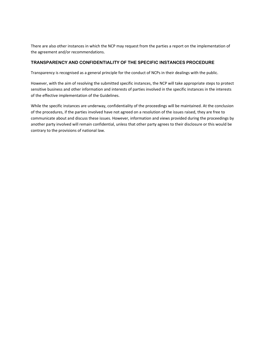There are also other instances in which the NCP may request from the parties a report on the implementation of the agreement and/or recommendations.

## **TRANSPARENCY AND CONFIDENTIALITY OF THE SPECIFIC INSTANCES PROCEDURE**

Transparency is recognised as a general principle for the conduct of NCPs in their dealings with the public.

However, with the aim of resolving the submitted specific instances, the NCP will take appropriate steps to protect sensitive business and other information and interests of parties involved in the specific instances in the interests of the effective implementation of the Guidelines.

While the specific instances are underway, confidentiality of the proceedings will be maintained. At the conclusion of the procedures, if the parties involved have not agreed on a resolution of the issues raised, they are free to communicate about and discuss these issues. However, information and views provided during the proceedings by another party involved will remain confidential, unless that other party agrees to their disclosure or this would be contrary to the provisions of national law.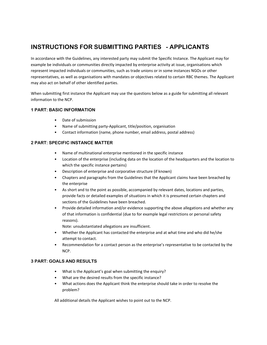# **INSTRUCTIONS FOR SUBMITTING PARTIES - APPLICANTS**

In accordance with the Guidelines, any interested party may submit the Specific Instance. The Applicant may for example be individuals or communities directly impacted by enterprise activity at issue, organisations which represent impacted individuals or communities, such as trade unions or in some instances NGOs or other representatives, as well as organisations with mandates or objectives related to certain RBC themes. The Applicant may also act on behalf of other identified parties.

When submitting first instance the Applicant may use the questions below as a guide for submitting all relevant information to the NCP.

## **1 PART: BASIC INFORMATION**

- Date of submission
- Name of submitting party-Applicant, title/position, organisation
- Contact information (name, phone number, email address, postal address)

## **2 PART: SPECIFIC INSTANCE MATTER**

- Name of multinational enterprise mentioned in the specific instance
- Location of the enterprise (including data on the location of the headquarters and the location to which the specific instance pertains)
- Description of enterprise and corporative structure (if known)
- Chapters and paragraphs from the Guidelines that the Applicant claims have been breached by the enterprise
- As short and to the point as possible, accompanied by relevant dates, locations and parties, provide facts or detailed examples of situations in which it is presumed certain chapters and sections of the Guidelines have been breached.
- Provide detailed information and/or evidence supporting the above allegations and whether any of that information is confidential (due to for example legal restrictions or personal safety reasons).

Note: unsubstantiated allegations are insufficient.

- Whether the Applicant has contacted the enterprise and at what time and who did he/she attempt to contact.
- Recommendation for a contact person as the enterprise's representative to be contacted by the NCP.

## **3 PART: GOALS AND RESULTS**

- What is the Applicant's goal when submitting the enquiry?
- What are the desired results from the specific instance?
- What actions does the Applicant think the enterprise should take in order to resolve the problem?

All additional details the Applicant wishes to point out to the NCP.